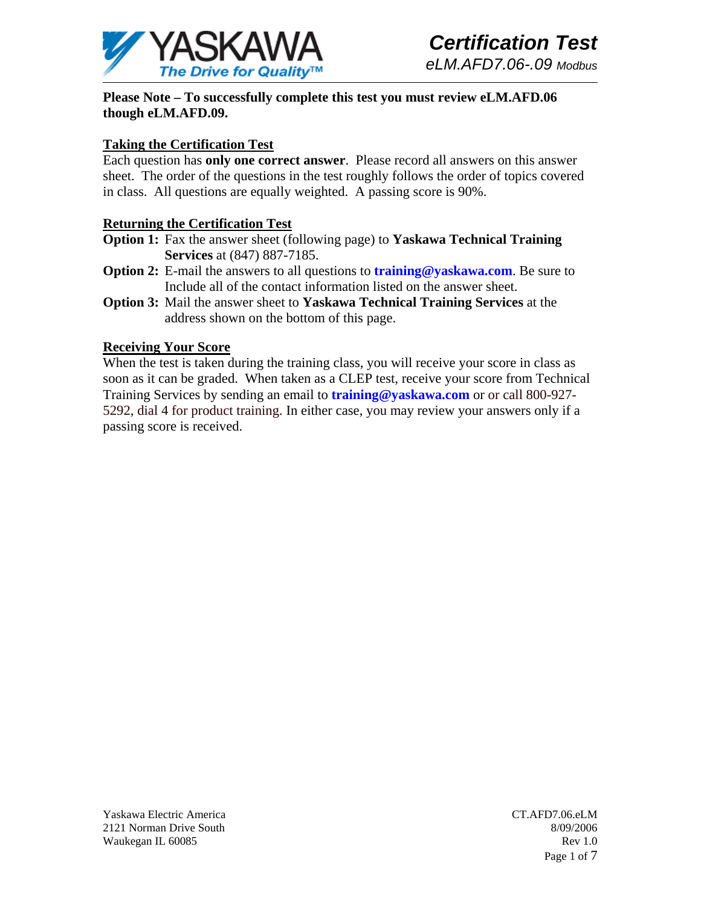

**Please Note – To successfully complete this test you must review eLM.AFD.06 though eLM.AFD.09.** 

## **Taking the Certification Test**

Each question has **only one correct answer**. Please record all answers on this answer sheet. The order of the questions in the test roughly follows the order of topics covered in class. All questions are equally weighted. A passing score is 90%.

## **Returning the Certification Test**

- **Option 1:** Fax the answer sheet (following page) to **Yaskawa Technical Training Services** at (847) 887-7185.
- **Option 2:** E-mail the answers to all questions to **training@yaskawa.com**. Be sure to Include all of the contact information listed on the answer sheet.
- **Option 3:** Mail the answer sheet to **Yaskawa Technical Training Services** at the address shown on the bottom of this page.

#### **Receiving Your Score**

When the test is taken during the training class, you will receive your score in class as soon as it can be graded. When taken as a CLEP test, receive your score from Technical Training Services by sending an email to **training@yaskawa.com** or or call 800-927- 5292, dial 4 for product training. In either case, you may review your answers only if a passing score is received.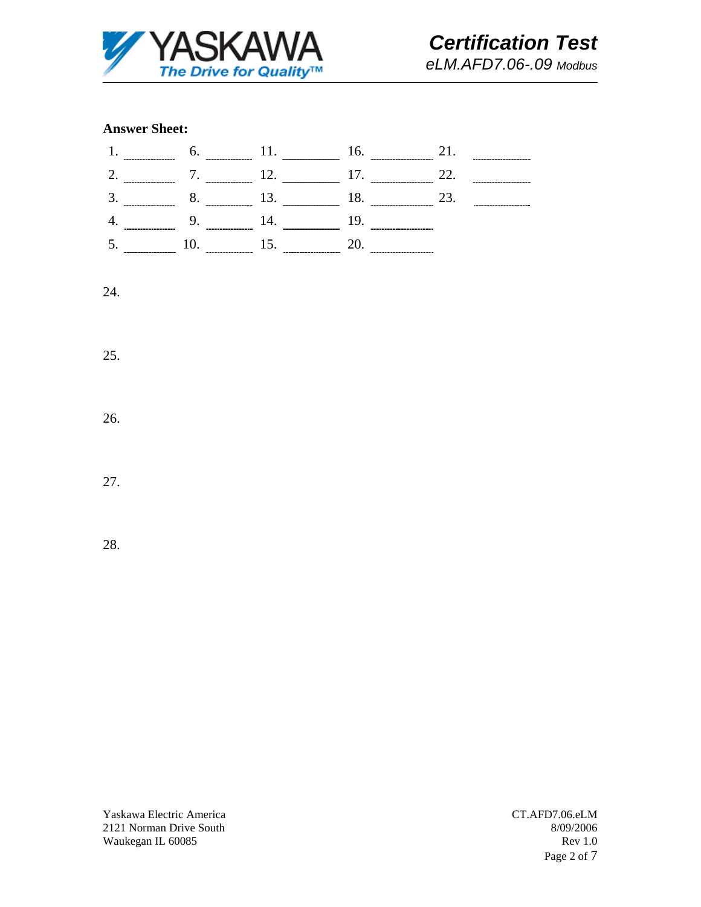

# *Certification Test eLM.AFD7.06-.09 Modbus*

#### **Answer Sheet:**



## 24.

25.

26.

27.

28.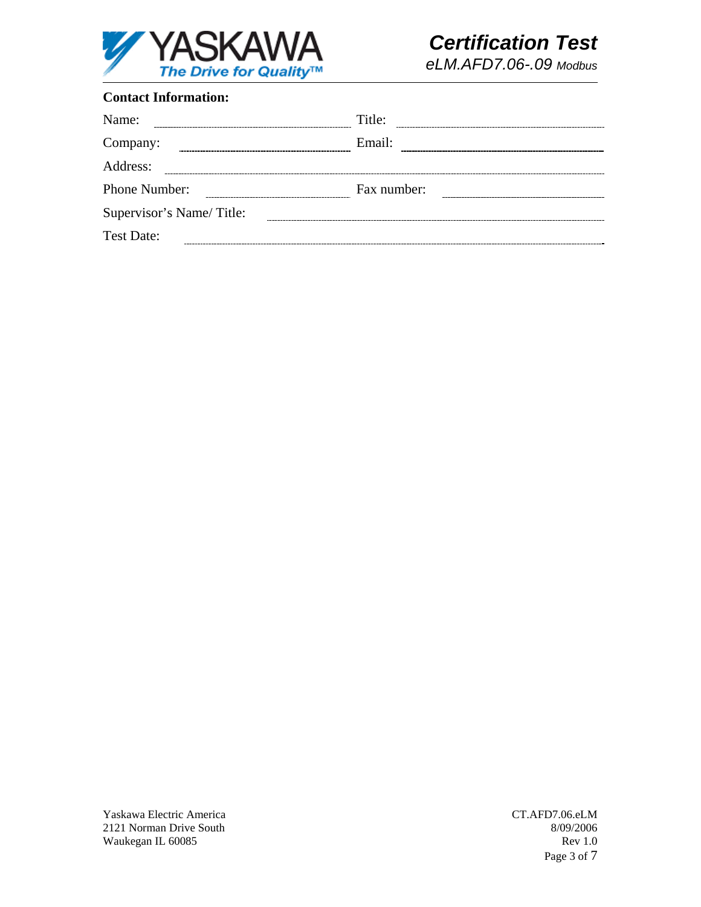

*eLM.AFD7.06-.09 Modbus*

## **Contact Information:**

| Name:                    | Title:      |
|--------------------------|-------------|
| Company:                 | Email:      |
| Address:                 |             |
| Phone Number:            | Fax number: |
| Supervisor's Name/Title: |             |
| <b>Test Date:</b>        |             |

Yaskawa Electric America 2121 Norman Drive South Waukegan IL 60085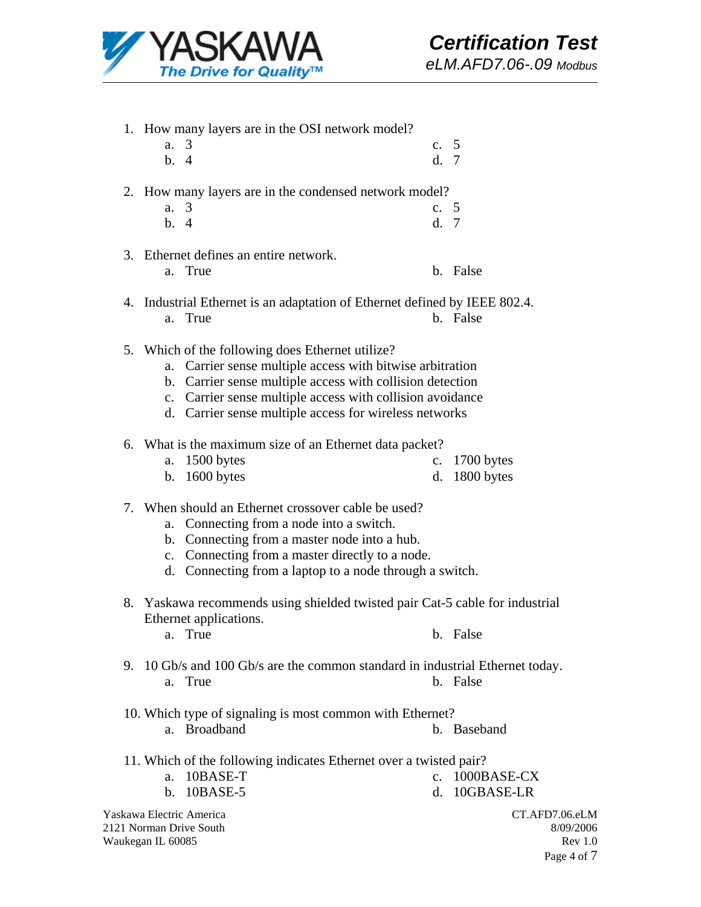

1. How many layers are in the OSI network model? a. 3 b. 4 c. 5 d. 7 2. How many layers are in the condensed network model? a. 3 b. 4 c. 5 d. 7 3. Ethernet defines an entire network. a. True b. False 4. Industrial Ethernet is an adaptation of Ethernet defined by IEEE 802.4. a. True b. False 5. Which of the following does Ethernet utilize? a. Carrier sense multiple access with bitwise arbitration b. Carrier sense multiple access with collision detection c. Carrier sense multiple access with collision avoidance d. Carrier sense multiple access for wireless networks 6. What is the maximum size of an Ethernet data packet? a. 1500 bytes b. 1600 bytes c. 1700 bytes d. 1800 bytes 7. When should an Ethernet crossover cable be used? a. Connecting from a node into a switch. b. Connecting from a master node into a hub. c. Connecting from a master directly to a node. d. Connecting from a laptop to a node through a switch. 8. Yaskawa recommends using shielded twisted pair Cat-5 cable for industrial Ethernet applications. a. True b. False 9. 10 Gb/s and 100 Gb/s are the common standard in industrial Ethernet today. a. True b. False 10. Which type of signaling is most common with Ethernet? a. Broadband b. Baseband 11. Which of the following indicates Ethernet over a twisted pair? a. 10BASE-T b. 10BASE-5 c. 1000BASE-CX d. 10GBASE-LR

Yaskawa Electric America 2121 Norman Drive South Waukegan IL 60085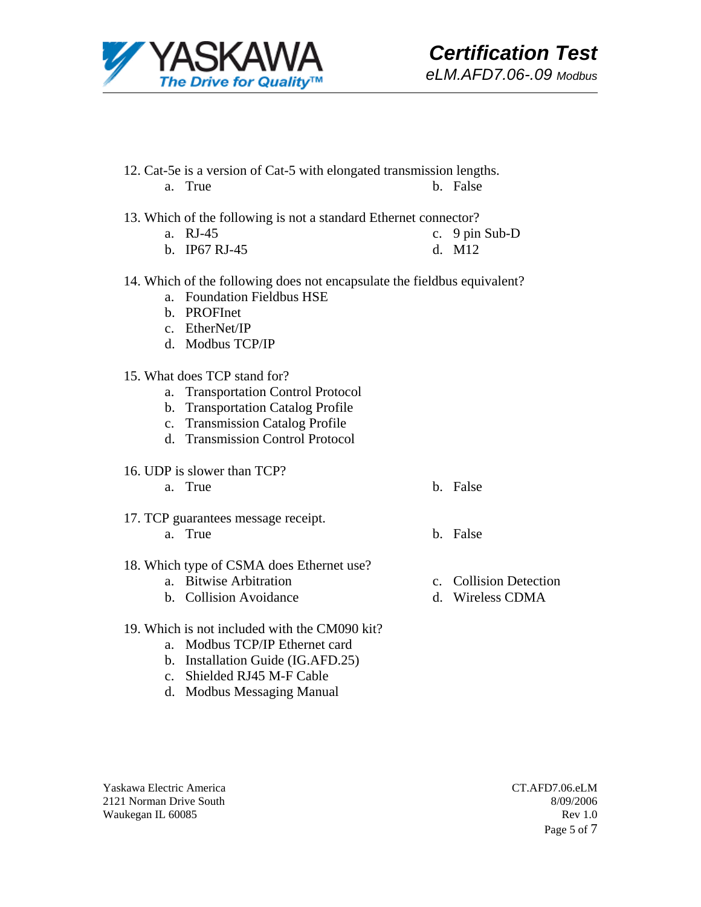

- 12. Cat-5e is a version of Cat-5 with elongated transmission lengths. a. True b. False
- 13. Which of the following is not a standard Ethernet connector?
	- a. RJ-45 c. 9 pin Sub-D
	- b. IP67 RJ-45 d. M12
- 14. Which of the following does not encapsulate the fieldbus equivalent? a. Foundation Fieldbus HSE
	- b. PROFInet
	- c. EtherNet/IP
	- d. Modbus TCP/IP
- 15. What does TCP stand for?
	- a. Transportation Control Protocol
	- b. Transportation Catalog Profile
	- c. Transmission Catalog Profile
	- d. Transmission Control Protocol
- 16. UDP is slower than TCP?
	- a. True b. False
- 17. TCP guarantees message receipt. a. True b. False
	-
- 18. Which type of CSMA does Ethernet use?
	- a. Bitwise Arbitration
	- b. Collision Avoidance
- c. Collision Detection
- d. Wireless CDMA
- 19. Which is not included with the CM090 kit?
	- a. Modbus TCP/IP Ethernet card
	- b. Installation Guide (IG.AFD.25)
	- c. Shielded RJ45 M-F Cable
	- d. Modbus Messaging Manual

Yaskawa Electric America 2121 Norman Drive South Waukegan IL 60085

CT.AFD7.06.eLM 8/09/2006 Rev 1.0 Page 5 of 7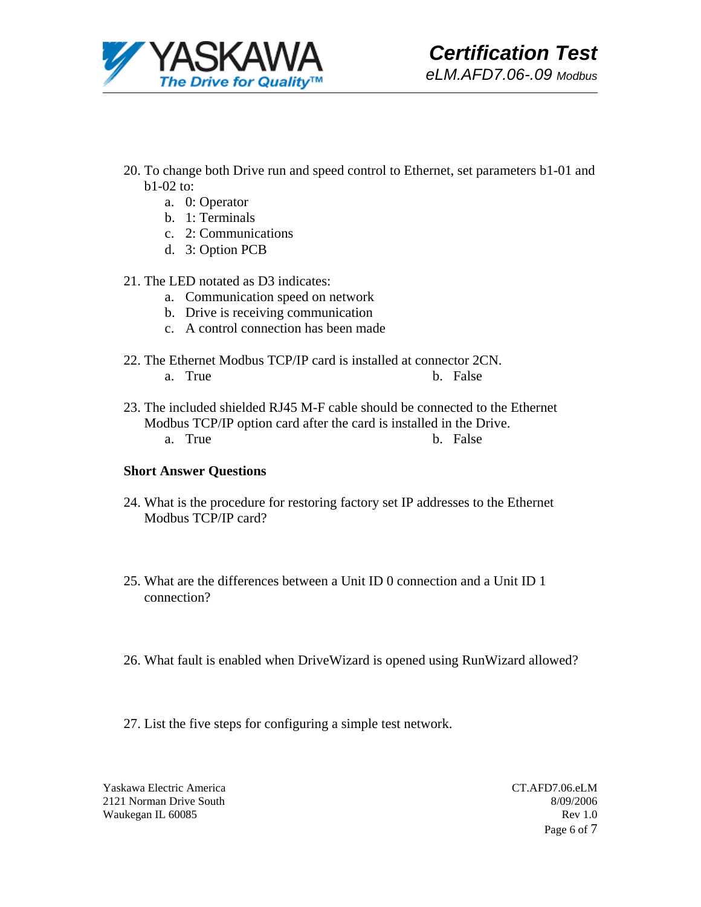

- 20. To change both Drive run and speed control to Ethernet, set parameters b1-01 and b1-02 to:
	- a. 0: Operator
	- b. 1: Terminals
	- c. 2: Communications
	- d. 3: Option PCB
- 21. The LED notated as D3 indicates:
	- a. Communication speed on network
	- b. Drive is receiving communication
	- c. A control connection has been made
- 22. The Ethernet Modbus TCP/IP card is installed at connector 2CN. a. True b. False
- 23. The included shielded RJ45 M-F cable should be connected to the Ethernet Modbus TCP/IP option card after the card is installed in the Drive. a. True b. False

## **Short Answer Questions**

- 24. What is the procedure for restoring factory set IP addresses to the Ethernet Modbus TCP/IP card?
- 25. What are the differences between a Unit ID 0 connection and a Unit ID 1 connection?
- 26. What fault is enabled when DriveWizard is opened using RunWizard allowed?
- 27. List the five steps for configuring a simple test network.